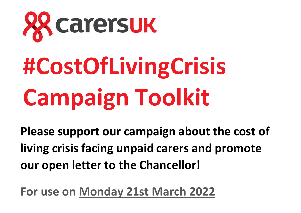

# **#CostOfLivingCrisis Campaign Toolkit**

**Please support our campaign about the cost of living crisis facing unpaid carers and promote our open letter to the Chancellor!**

**For use on Monday 21st March 2022**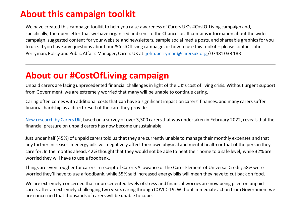#### **About this campaign toolkit**

We have created this campaign toolkit to help you raise awareness of Carers UK's #CostOfLiving campaign and, specifically, the open letter that we have organised and sent to the Chancellor. It contains information about the wider campaign, suggested content for your website and newsletters, sample social media posts, and shareable graphics for you to use. If you have any questions about our #CostOfLiving campaign, or how to use this toolkit – please contact John Perryman, Policy and Public Affairs Manager, Carers UK at: [john.perryman@carersuk.org](mailto:john.perryman@carersuk.org) / 07481 038 183

#### **About our #CostOfLiving campaign**

Unpaid carers are facing unprecedented financial challenges in light of the UK's cost of living crisis. Without urgent support from Government, we are extremely worried that many will be unable to continue caring.

Caring often comes with additional costs that can have a significant impact on carers' finances, and many carers suffer financial hardship as a direct result of the care they provide.

[New research](http://www.carersuk.org/underpressure) by Carers UK, based on a survey of over 3,300 carers that was undertaken in February 2022, reveals that the financial pressure on unpaid carers has now become unsustainable.

Just under half (45%) of unpaid carers told us that they are currently unable to manage their monthly expenses and that any further increases in energy bills will negatively affect their own physical and mental health or that of the person they care for. In the months ahead, 42% thought that they would not be able to heat their home to a safe level, while 32% are worried they will have to use a foodbank.

Things are even tougher for carers in receipt of Carer's Allowance or the Carer Element of Universal Credit; 58% were worried they'll have to use a foodbank, while 55% said increased energy bills will mean they have to cut back on food.

We are extremely concerned that unprecedented levels of stress and financial worries are now being piled on unpaid carers after an extremely challenging two years caring through COVID-19. Without immediate action from Government we are concerned that thousands of carers will be unable to cope.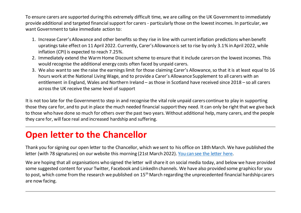To ensure carers are supported during this extremely difficult time, we are calling on the UK Government to immediately provide additional and targeted financial support for carers - particularly those on the lowest incomes. In particular, we want Government to take immediate action to:

- 1. Increase Carer's Allowance and other benefits so they rise in line with current inflation predictions when benefit upratings take effect on 11 April 2022. Currently, Carer's Allowance is set to rise by only 3.1% in April 2022, while inflation (CPI) is expected to reach 7.25%.
- 2. Immediately extend the Warm Home Discount scheme to ensure that it include carers on the lowest incomes. This would recognise the additional energy costs often faced by unpaid carers.
- 3. We also want to see the raise the earnings limit for those claiming Carer's Allowance, so that it is at least equal to 16 hours work at the National Living Wage, and to provide a Carer's Allowance Supplement to all carers with an entitlement in England, Wales and Northern Ireland – as those in Scotland have received since 2018 – so all carers across the UK receive the same level of support

It is not too late for the Government to step in and recognise the vital role unpaid carers continue to play in supporting those they care for, and to put in place the much needed financial support they need. It can only be right that we give back to those who have done so much for others over the past two years. Without additional help, many carers, and the people they care for, will face real and increased hardship and suffering.

#### **Open letter to the Chancellor**

Thank you for signing our open letter to the Chancellor, which we sent to his office on 18th March. We have published the letter (with 78 signatures) on our website this morning (21st March 2022)[. You can see the letter here.](https://www.carersuk.org/images/Open_letter_to_Chancellor_re_cost_of_living_crisis_and_unpaid_carers_-_vFINAL_with_signatures.pdf)

We are hoping that all organisations who signed the letter will share it on social media today, and below we have provided some suggested content for your Twitter, Facebook and LinkedIn channels. We have also provided some graphics for you to post, which come from the research we published on 15<sup>th</sup> March regarding the unprecedented financial hardship carers are now facing.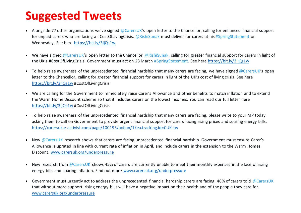## **Suggested Tweets**

- Alongside 77 other organisations we've signed @CarersUK's open letter to the Chancellor, calling for enhanced financial support for unpaid carers who are facing a #CostOfLivingCrisis. @RishiSunak must deliver for carers at his #SpringStatement on Wednesday. See here<https://bit.ly/3ijQs1w>
- We have signed @CarersUK's open letter to the Chancellor @RishiSunak, calling for greater financial support for carers in light of the UK's #CostOfLivingCrisis. Government must act on 23 March #SpringStatement. See here<https://bit.ly/3ijQs1w>
- To help raise awareness of the unprecedented financial hardship that many carers are facing, we have signed @CarersUK's open letter to the Chancellor, calling for greater financial support for carers in light of the UK's cost of living crisis. See here <https://bit.ly/3ijQs1w> #CostOfLivingCrisis
- We are calling for the Government to immediately raise Carer's Allowance and other benefits to match inflation and to extend the Warm Home Discount scheme so that it includes carers on the lowest incomes. You can read our full letter here <https://bit.ly/3ijQs1w> #CostOfLivingCrisis
- To help raise awareness of the unprecedented financial hardship that many carers are facing, please write to your MP today asking them to call on Government to provide urgent financial support for carers facing rising prices and soaring energy bills. <https://carersuk.e-activist.com/page/100195/action/1?ea.tracking.id=CUK-tw>
- New @CarersUK research shows that carers are facing unprecedented financial hardship. Government must ensure Carer's Allowance is uprated in line with current rate of inflation in April, and include carers in the extension to the Warm Homes Discount. [www.carersuk.org/underpressure](http://www.carersuk.org/underpressure)
- New research from @CarersUK shows 45% of carers are currently unable to meet their monthly expenses in the face of rising energy bills and soaring inflation. Find out more [www.carersuk.org/underpressure](http://www.carersuk.org/underpressure)
- Government must urgently act to address the unprecedented financial hardship carers are facing. 46% of carers told @CarersUK that without more support, rising energy bills will have a negative impact on their health and of the people they care for. [www.carersuk.org/underpressure](http://www.carersuk.org/underpressure)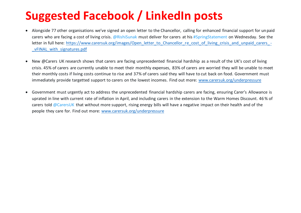# **Suggested Facebook / LinkedIn posts**

- Alongside 77 other organisations we've signed an open letter to the Chancellor, calling for enhanced financial support for unpaid carers who are facing a cost of living crisis. @RishiSunak must deliver for carers at his #SpringStatement on Wednesday. See the letter in full here: [https://www.carersuk.org/images/Open\\_letter\\_to\\_Chancellor\\_re\\_cost\\_of\\_living\\_crisis\\_and\\_unpaid\\_carers\\_](https://www.carersuk.org/images/Open_letter_to_Chancellor_re_cost_of_living_crisis_and_unpaid_carers_-_vFINAL_with_signatures.pdf) vFINAL with signatures.pdf
- New @Carers UK research shows that carers are facing unprecedented financial hardship as a result of the UK's cost of living crisis. 45% of carers are currently unable to meet their monthly expenses, 83% of carers are worried they will be unable to meet their monthly costs if living costs continue to rise and 37% of carers said they will have to cut back on food. Government must immediately provide targetted support to carers on the lowest incomes. Find out more: [www.carersuk.org/underpressure](http://www.carersuk.org/underpressure)
- Government must urgently act to address the unprecedented financial hardship carers are facing, ensuring Carer's Allowance is uprated in line with current rate of inflation in April, and including carers in the extension to the Warm Homes Discount. 46 % of carers told @CarersUK that without more support, rising energy bills will have a negative impact on their health and of the people they care for. Find out more: [www.carersuk.org/underpressure](http://www.carersuk.org/underpressure)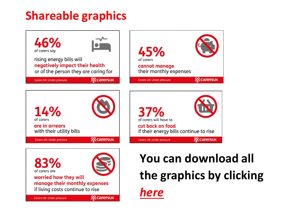## **Shareable graphics**







# **[You can download all](https://drive.google.com/drive/folders/12XuHLqh4et-7c1Afnmf4z_N2_dI90n4u?usp=sharing)  [the graphics](https://drive.google.com/drive/folders/12XuHLqh4et-7c1Afnmf4z_N2_dI90n4u?usp=sharing) by clicking**

**28 carersuk**